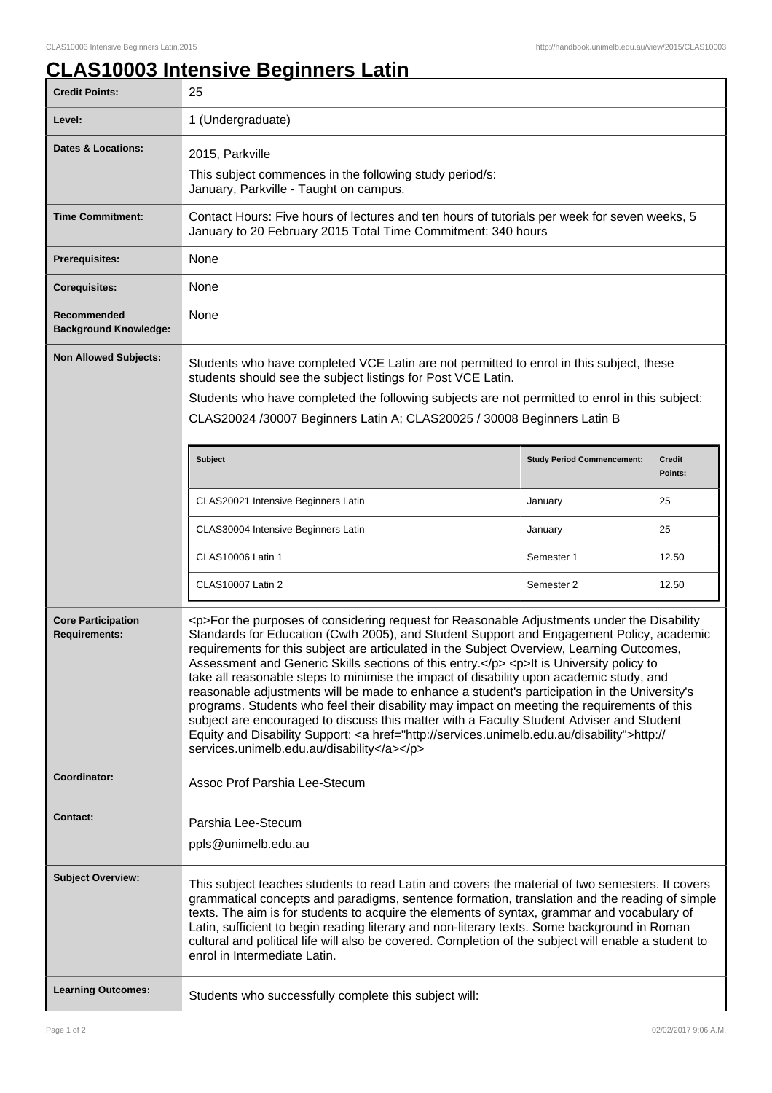## **CLAS10003 Intensive Beginners Latin**

| <b>Credit Points:</b>                             | 25                                                                                                                                                                                                                                                                                                                                                                                                                                                                                                                                                                                                                                                                                                                                                                                                                                                                                                                           |                                   |                          |
|---------------------------------------------------|------------------------------------------------------------------------------------------------------------------------------------------------------------------------------------------------------------------------------------------------------------------------------------------------------------------------------------------------------------------------------------------------------------------------------------------------------------------------------------------------------------------------------------------------------------------------------------------------------------------------------------------------------------------------------------------------------------------------------------------------------------------------------------------------------------------------------------------------------------------------------------------------------------------------------|-----------------------------------|--------------------------|
| Level:                                            | 1 (Undergraduate)                                                                                                                                                                                                                                                                                                                                                                                                                                                                                                                                                                                                                                                                                                                                                                                                                                                                                                            |                                   |                          |
| Dates & Locations:                                | 2015, Parkville<br>This subject commences in the following study period/s:<br>January, Parkville - Taught on campus.                                                                                                                                                                                                                                                                                                                                                                                                                                                                                                                                                                                                                                                                                                                                                                                                         |                                   |                          |
| <b>Time Commitment:</b>                           | Contact Hours: Five hours of lectures and ten hours of tutorials per week for seven weeks, 5<br>January to 20 February 2015 Total Time Commitment: 340 hours                                                                                                                                                                                                                                                                                                                                                                                                                                                                                                                                                                                                                                                                                                                                                                 |                                   |                          |
| <b>Prerequisites:</b>                             | None                                                                                                                                                                                                                                                                                                                                                                                                                                                                                                                                                                                                                                                                                                                                                                                                                                                                                                                         |                                   |                          |
| <b>Corequisites:</b>                              | None                                                                                                                                                                                                                                                                                                                                                                                                                                                                                                                                                                                                                                                                                                                                                                                                                                                                                                                         |                                   |                          |
| Recommended<br><b>Background Knowledge:</b>       | None                                                                                                                                                                                                                                                                                                                                                                                                                                                                                                                                                                                                                                                                                                                                                                                                                                                                                                                         |                                   |                          |
| <b>Non Allowed Subjects:</b>                      | Students who have completed VCE Latin are not permitted to enrol in this subject, these<br>students should see the subject listings for Post VCE Latin.<br>Students who have completed the following subjects are not permitted to enrol in this subject:<br>CLAS20024 /30007 Beginners Latin A; CLAS20025 / 30008 Beginners Latin B                                                                                                                                                                                                                                                                                                                                                                                                                                                                                                                                                                                         |                                   |                          |
|                                                   | <b>Subject</b>                                                                                                                                                                                                                                                                                                                                                                                                                                                                                                                                                                                                                                                                                                                                                                                                                                                                                                               | <b>Study Period Commencement:</b> | <b>Credit</b><br>Points: |
|                                                   | CLAS20021 Intensive Beginners Latin                                                                                                                                                                                                                                                                                                                                                                                                                                                                                                                                                                                                                                                                                                                                                                                                                                                                                          | January                           | 25                       |
|                                                   | CLAS30004 Intensive Beginners Latin                                                                                                                                                                                                                                                                                                                                                                                                                                                                                                                                                                                                                                                                                                                                                                                                                                                                                          | January                           | 25                       |
|                                                   | <b>CLAS10006 Latin 1</b>                                                                                                                                                                                                                                                                                                                                                                                                                                                                                                                                                                                                                                                                                                                                                                                                                                                                                                     | Semester 1                        | 12.50                    |
|                                                   | <b>CLAS10007 Latin 2</b>                                                                                                                                                                                                                                                                                                                                                                                                                                                                                                                                                                                                                                                                                                                                                                                                                                                                                                     | Semester 2                        | 12.50                    |
| <b>Core Participation</b><br><b>Requirements:</b> | <p>For the purposes of considering request for Reasonable Adjustments under the Disability<br/>Standards for Education (Cwth 2005), and Student Support and Engagement Policy, academic<br/>requirements for this subject are articulated in the Subject Overview, Learning Outcomes,<br/>Assessment and Generic Skills sections of this entry.</p> <p>It is University policy to<br/>take all reasonable steps to minimise the impact of disability upon academic study, and<br/>reasonable adjustments will be made to enhance a student's participation in the University's<br/>programs. Students who feel their disability may impact on meeting the requirements of this<br/>subject are encouraged to discuss this matter with a Faculty Student Adviser and Student<br/>Equity and Disability Support: &lt; a href="http://services.unimelb.edu.au/disability"&gt;http://<br/>services.unimelb.edu.au/disability</p> |                                   |                          |
| <b>Coordinator:</b>                               | Assoc Prof Parshia Lee-Stecum                                                                                                                                                                                                                                                                                                                                                                                                                                                                                                                                                                                                                                                                                                                                                                                                                                                                                                |                                   |                          |
| <b>Contact:</b>                                   | Parshia Lee-Stecum<br>ppls@unimelb.edu.au                                                                                                                                                                                                                                                                                                                                                                                                                                                                                                                                                                                                                                                                                                                                                                                                                                                                                    |                                   |                          |
| <b>Subject Overview:</b>                          | This subject teaches students to read Latin and covers the material of two semesters. It covers<br>grammatical concepts and paradigms, sentence formation, translation and the reading of simple<br>texts. The aim is for students to acquire the elements of syntax, grammar and vocabulary of<br>Latin, sufficient to begin reading literary and non-literary texts. Some background in Roman<br>cultural and political life will also be covered. Completion of the subject will enable a student to<br>enrol in Intermediate Latin.                                                                                                                                                                                                                                                                                                                                                                                      |                                   |                          |
| <b>Learning Outcomes:</b>                         | Students who successfully complete this subject will:                                                                                                                                                                                                                                                                                                                                                                                                                                                                                                                                                                                                                                                                                                                                                                                                                                                                        |                                   |                          |